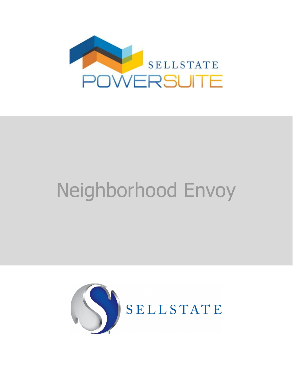

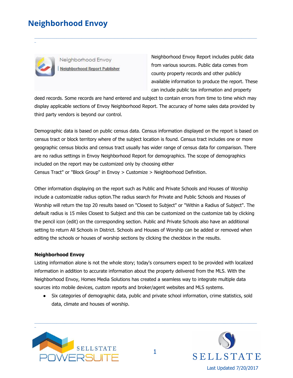\_

Neighborhood Envoy Neighborhood Report Publisher Neighborhood Envoy Report includes public data from various sources. Public data comes from county property records and other publicly available information to produce the report. These can include public tax information and property

deed records. Some records are hand entered and subject to contain errors from time to time which may display applicable sections of Envoy Neighborhood Report. The accuracy of home sales data provided by third party vendors is beyond our control.

\_\_\_\_\_\_\_\_\_\_\_\_\_\_\_\_\_\_\_\_\_\_\_\_\_\_\_\_\_\_\_\_\_\_\_\_\_\_\_\_\_\_\_\_\_\_\_\_\_\_\_\_\_\_\_\_\_\_\_\_\_\_\_\_\_\_\_\_\_\_\_\_\_\_\_\_\_\_\_\_\_\_\_\_\_\_\_\_\_\_\_\_\_\_\_\_\_\_\_\_\_\_\_\_\_\_\_\_\_\_\_\_\_\_\_\_\_\_\_\_\_\_\_\_\_\_\_\_\_\_\_\_\_\_\_\_\_\_\_\_\_\_

Demographic data is based on public census data. Census information displayed on the report is based on census tract or block territory where of the subject location is found. Census tract includes one or more geographic census blocks and census tract usually has wider range of census data for comparison. There are no radius settings in Envoy Neighborhood Report for demographics. The scope of demographics included on the report may be customized only by choosing either Census Tract" or "Block Group" in Envoy > Customize > Neighborhood Definition.

Other information displaying on the report such as Public and Private Schools and Houses of Worship include a customizable radius option.The radius search for Private and Public Schools and Houses of Worship will return the top 20 results based on "Closest to Subject" or "Within a Radius of Subject". The default radius is 15 miles Closest to Subject and this can be customized on the customize tab by clicking the pencil icon (edit) on the corresponding section. Public and Private Schools also have an additional setting to return All Schools in District. Schools and Houses of Worship can be added or removed when editing the schools or houses of worship sections by clicking the checkbox in the results.

#### **Neighborhood Envoy**

Listing information alone is not the whole story; today's consumers expect to be provided with localized information in addition to accurate information about the property delivered from the MLS. With the Neighborhood Envoy, Homes Media Solutions has created a seamless way to integrate multiple data sources into mobile devices, custom reports and broker/agent websites and MLS systems.

● Six categories of demographic data, public and private school information, crime statistics, sold data, climate and houses of worship.



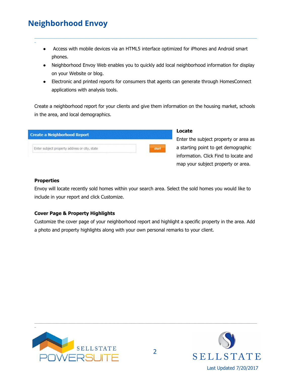\_

## Access with mobile devices via an HTML5 interface optimized for iPhones and Android smart phones.

\_\_\_\_\_\_\_\_\_\_\_\_\_\_\_\_\_\_\_\_\_\_\_\_\_\_\_\_\_\_\_\_\_\_\_\_\_\_\_\_\_\_\_\_\_\_\_\_\_\_\_\_\_\_\_\_\_\_\_\_\_\_\_\_\_\_\_\_\_\_\_\_\_\_\_\_\_\_\_\_\_\_\_\_\_\_\_\_\_\_\_\_\_\_\_\_\_\_\_\_\_\_\_\_\_\_\_\_\_\_\_\_\_\_\_\_\_\_\_\_\_\_\_\_\_\_\_\_\_\_\_\_\_\_\_\_\_\_\_\_\_\_

- Neighborhood Envoy Web enables you to quickly add local neighborhood information for display on your Website or blog.
- Electronic and printed reports for consumers that agents can generate through HomesConnect applications with analysis tools.

Create a neighborhood report for your clients and give them information on the housing market, schools in the area, and local demographics.

| Enter subject property address or city, state |  |
|-----------------------------------------------|--|
|                                               |  |

## **Locate**

Enter the subject property or area as a starting point to get demographic information. Click Find to locate and map your subject property or area.

#### **Properties**

Envoy will locate recently sold homes within your search area. Select the sold homes you would like to include in your report and click Customize.

#### **Cover Page & Property Highlights**

Customize the cover page of your neighborhood report and highlight a specific property in the area. Add a photo and property highlights along with your own personal remarks to your client.



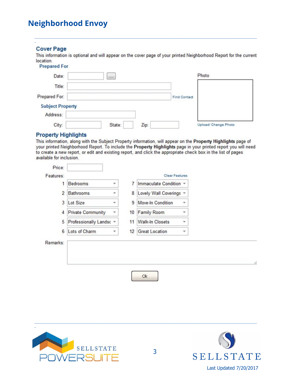### **Cover Page**

This information is optional and will appear on the cover page of your printed Neighborhood Report for the current location.

#### **Prepared For**

| Date:                   | $\sim$ |      |                     | Photo                |  |
|-------------------------|--------|------|---------------------|----------------------|--|
| Title:                  |        |      |                     |                      |  |
| Prepared For:           |        |      | <b>Find Contact</b> |                      |  |
| <b>Subject Property</b> |        |      |                     |                      |  |
| Address:                |        |      |                     |                      |  |
| City:                   | State: | Zip: |                     | Upload/ Change Photo |  |

#### **Property Highlights**

This information, along with the Subject Property information, will appear on the Property Highlights page of your printed Neighborhood Report. To include the Property Highlights page in your printed report you will need to create a new report, or edit and existing report, and click the appropriate check box in the list of pages available for inclusion.

| 1              | <b>Bedrooms</b>          | 7<br>۳  | Immaculate Condition ~  |              |
|----------------|--------------------------|---------|-------------------------|--------------|
| $\overline{2}$ | <b>Bathrooms</b>         | 8<br>٠  | Lovely Wall Coverings * |              |
| 3              | Lot Size                 | 9<br>v  | Move-In Condition       | ۳            |
| 4              | <b>Private Community</b> | 10<br>۳ | Family Room             | $\mathbf{v}$ |
| 5              | Professionally Landsc =  | 11      | <b>Walk-In Closets</b>  | ۳            |
| 6              | Lots of Charm            | 12<br>w | <b>Great Location</b>   | v            |
| Remarks:       |                          |         |                         |              |
|                |                          |         |                         |              |
|                |                          |         |                         |              |



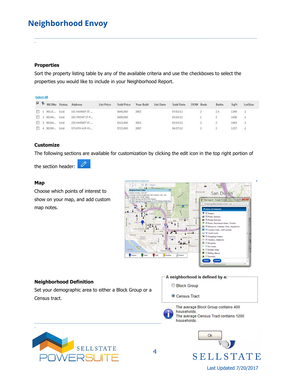#### **Properties**

\_

Sort the property listing table by any of the available criteria and use the checkboxes to select the properties you would like to include in your Neighborhood Report.

\_\_\_\_\_\_\_\_\_\_\_\_\_\_\_\_\_\_\_\_\_\_\_\_\_\_\_\_\_\_\_\_\_\_\_\_\_\_\_\_\_\_\_\_\_\_\_\_\_\_\_\_\_\_\_\_\_\_\_\_\_\_\_\_\_\_\_\_\_\_\_\_\_\_\_\_\_\_\_\_\_\_\_\_\_\_\_\_\_\_\_\_\_\_\_\_\_\_\_\_\_\_\_\_\_\_\_\_\_\_\_\_\_\_\_\_\_\_\_\_\_\_\_\_\_\_\_\_\_\_\_\_\_\_\_\_\_\_\_\_\_\_

|  |              | MLSNu Status Address | List Price | Sold Price | Year Built | List Date | Sold Date | DOM Beds | <b>Baths</b> | SaFt | LotSize      |
|--|--------------|----------------------|------------|------------|------------|-----------|-----------|----------|--------------|------|--------------|
|  | 1 90121 Sold | 101 MARKET ST.       |            | \$449,000  | 2002       |           | 07/02/12  |          |              | 1290 | $\mathbb{Z}$ |
|  | 2 90244 Sold | 555 FRONT ST #       |            | \$499,000  |            |           | 05/10/12  |          |              | 1036 | $-1$         |
|  | 3 90244 Sold | 235 MARKET ST.       |            | \$315,000  | 2002       |           | 05/15/12  |          |              | 1063 | $-1$         |
|  | 4 90249 Sold | 575 6TH AVE #1       |            | \$725,000  | 2007       |           | 04/27/12  |          |              | 1227 | $+1$         |

#### **Customize**

The following sections are available for customization by clicking the edit icon in the top right portion of

the section header:

#### **Map**

\_

Choose which points of interest to show on your map, and add custom map notes.



#### **Neighborhood Definition**

Set your demographic area to either a Block Group or a Census tract.

#### A neighborhood is defined by a:

Block Group

Census Tract



4

The average Block Group contains 400 households. The average Census Tract contains 1200  $\blacksquare$ 



Ok **SELLSTATE** Last Updated 7/20/2017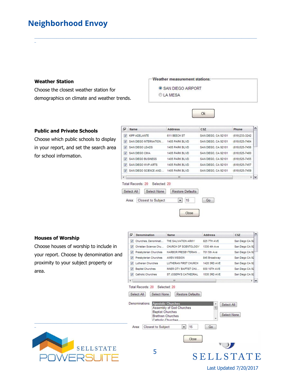#### **Weather Station**

\_

Choose the closest weather station for demographics on climate and weather trends.

#### Weather measurement stations:

- SAN DIEGO AIRPORT
- CLAMESA

\_\_\_\_\_\_\_\_\_\_\_\_\_\_\_\_\_\_\_\_\_\_\_\_\_\_\_\_\_\_\_\_\_\_\_\_\_\_\_\_\_\_\_\_\_\_\_\_\_\_\_\_\_\_\_\_\_\_\_\_\_\_\_\_\_\_\_\_\_\_\_\_\_\_\_\_\_\_\_\_\_\_\_\_\_\_\_\_\_\_\_\_\_\_\_\_\_\_\_\_\_\_\_\_\_\_\_\_\_\_\_\_\_\_\_\_\_\_\_\_\_\_\_\_\_\_\_\_\_\_\_\_\_\_\_\_\_\_\_\_\_\_

#### **Public and Private Schools**

Choose which public schools to display in your report, and set the search area for school information.

| ⊽              | Name                                                                                                 | <b>Address</b>                                     | CSZ.                | Phone          |
|----------------|------------------------------------------------------------------------------------------------------|----------------------------------------------------|---------------------|----------------|
| V              | <b>KIPP ADELANTE</b>                                                                                 | <b>611 BEECH ST</b>                                | SAN DEGO, CA 92101  | (619)233-3242  |
| v              | SAN DEGO INTERNATION                                                                                 | 1405 PARK BLVD                                     | SAN DIEGO, CA 92101 | (619) 525-7464 |
| v              | SAN DEGO LEADS                                                                                       | 1405 PARK BLVD                                     | SAN DIEGO, CA 92101 | (619)525-7456  |
| V              | SAN DEGO CIMA                                                                                        | 1405 PARK BLVD                                     | SAN DIEGO, CA 92101 | (619) 525-7460 |
| $\overline{v}$ | SAN DEGO BUSINESS                                                                                    | 1405 PARK BLVD                                     | SAN DIEGO, CA 92101 | (619) 525-7455 |
| v              | SAN DEGO MVP ARTS                                                                                    | 1405 PARK BLVD                                     | SAN DEGO, CA 92101  | (619) 525-7457 |
| v              | SAN DEGO SCIENCE AND                                                                                 | 1405 PARK BLVD                                     | SAN DIEGO, CA 92101 | (619) 525-7459 |
| $\leftarrow$   |                                                                                                      | m                                                  |                     | ۰l             |
|                | Total Records: 20<br>Selected: 20<br>Select All<br>Select None<br><b>Closest to Subject</b><br>Area: | Restore Defaults<br>15<br>$\overline{\phantom{a}}$ | Go                  |                |

Ok

#### **Houses of Worship**

|                                         | ⊽                       | Denomination                       | Name                                                                     | <b>Address</b>      | CSZ                |
|-----------------------------------------|-------------------------|------------------------------------|--------------------------------------------------------------------------|---------------------|--------------------|
| <b>Houses of Worship</b>                | V                       | Churches, Denominati               | THE SALVATION ARMY                                                       | <b>825 7TH AVE</b>  | San Diego CA 92    |
| Choose houses of worship to include in  | $\triangledown$         | Christian Science Chu              | CHURCH OF SCIENTOLOGY                                                    | 1330 4th Ave        | San Diego CA 92    |
| your report. Choose by denomination and | $\blacktriangledown$    | Presbyterian Churches              | HARBOR PRESBYTERIAN                                                      | 701 5th Ave         | San Diego CA 92    |
|                                         | $\blacktriangledown$    | Presbyterian Churches              | <b>AMEN MISSION</b>                                                      | 845 Broadway        | San Diego CA 92    |
| proximity to your subject property or   | $\overline{\mathbf{v}}$ | Lutheran Churches                  | LUTHERAN FIRST CHURCH                                                    | 1420 3RD AVE        | San Diego CA 92    |
| area.                                   | $\sqrt{2}$              | <b>Baptist Churches</b>            | INNER CITY BAPTIST CHU                                                   | 930 10TH AVE        | San Diego CA 92    |
|                                         | $\blacktriangledown$    | Catholic Churches                  | ST JOSEPH'S CATHEDRAL                                                    | <b>1535 3RD AVE</b> | San Diego CA 92    |
|                                         | $\epsilon$              |                                    | m                                                                        |                     | V                  |
|                                         |                         | <b>Closest to Subject</b><br>Area: | <b>Baptist Churches</b><br><b>Brethren Churches</b><br>Catholic Churchae |                     | <b>Select None</b> |
|                                         |                         |                                    | $\overline{\phantom{a}}$<br>15                                           | Go                  |                    |
| <b>SELLSTATE</b>                        |                         | 5                                  | Close                                                                    |                     | SELLSTATE          |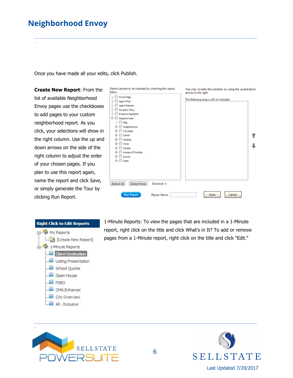\_

Once you have made all your edits, click Publish.

**Create New Report**: From the list of available Neighborhood Envoy pages use the checkboxes to add pages to your custom neighborhood report. As you click, your selections will show in the right column. Use the up and down arrows on the side of the right column to adjust the order of your chosen pages. If you plan to use this report again, name the report and click Save, or simply generate the Tour by clicking Run Report.





\_\_\_\_\_\_\_\_\_\_\_\_\_\_\_\_\_\_\_\_\_\_\_\_\_\_\_\_\_\_\_\_\_\_\_\_\_\_\_\_\_\_\_\_\_\_\_\_\_\_\_\_\_\_\_\_\_\_\_\_\_\_\_\_\_\_\_\_\_\_\_\_\_\_\_\_\_\_\_\_\_\_\_\_\_\_\_\_\_\_\_\_\_\_\_\_\_\_\_\_\_\_\_\_\_\_\_\_\_\_\_\_\_\_\_\_\_\_\_\_\_\_\_\_\_\_\_\_\_\_\_\_\_\_\_\_\_\_\_\_\_\_

1-Minute Reports: To view the pages that are included in a 1-Minute report, right click on the title and click What's in It? To add or remove pages from a 1-Minute report, right click on the title and click "Edit."



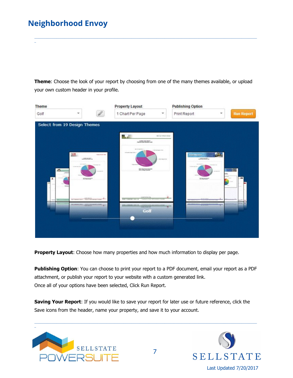\_

**Theme**: Choose the look of your report by choosing from one of the many themes available, or upload your own custom header in your profile.

\_\_\_\_\_\_\_\_\_\_\_\_\_\_\_\_\_\_\_\_\_\_\_\_\_\_\_\_\_\_\_\_\_\_\_\_\_\_\_\_\_\_\_\_\_\_\_\_\_\_\_\_\_\_\_\_\_\_\_\_\_\_\_\_\_\_\_\_\_\_\_\_\_\_\_\_\_\_\_\_\_\_\_\_\_\_\_\_\_\_\_\_\_\_\_\_\_\_\_\_\_\_\_\_\_\_\_\_\_\_\_\_\_\_\_\_\_\_\_\_\_\_\_\_\_\_\_\_\_\_\_\_\_\_\_\_\_\_\_\_\_\_



**Property Layout:** Choose how many properties and how much information to display per page.

**Publishing Option**: You can choose to print your report to a PDF document, email your report as a PDF attachment, or publish your report to your website with a custom generated link. Once all of your options have been selected, Click Run Report.

**Saving Your Report**: If you would like to save your report for later use or future reference, click the Save icons from the header, name your property, and save it to your account.